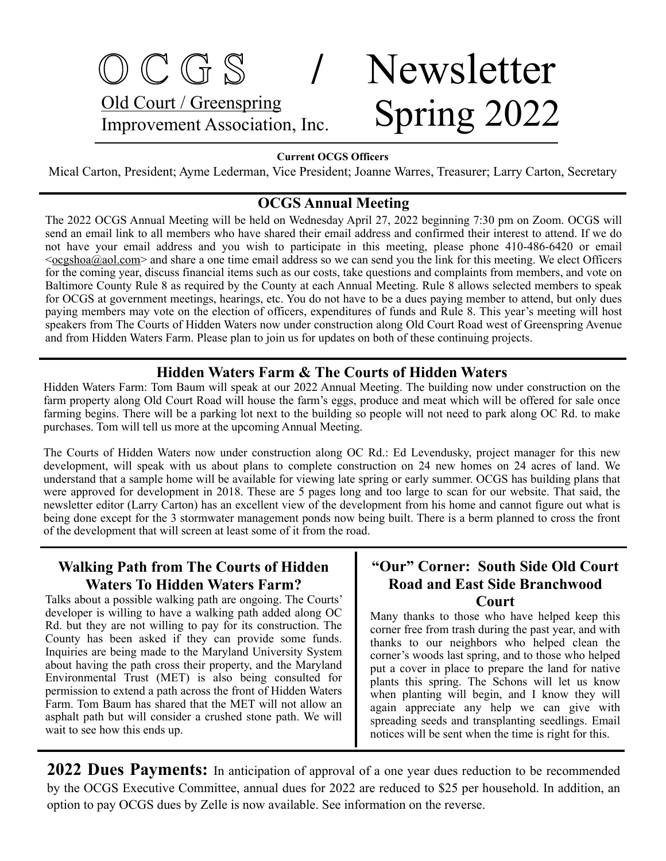# O C G S **/** Newsletter Old Court / Greenspring Old Court / Greenspring<br>Improvement Association, Inc. Spring 2022

#### **Current OCGS Officers**

Mical Carton, President; Ayme Lederman, Vice President; Joanne Warres, Treasurer; Larry Carton, Secretary

### **OCGS Annual Meeting**

The 2022 OCGS Annual Meeting will be held on Wednesday April 27, 2022 beginning 7:30 pm on Zoom. OCGS will send an email link to all members who have shared their email address and confirmed their interest to attend. If we do not have your email address and you wish to participate in this meeting, please phone 410-486-6420 or email  $\leq$   $\frac{\cos \pi}{a}$  aol.com > and share a one time email address so we can send you the link for this meeting. We elect Officers for the coming year, discuss financial items such as our costs, take questions and complaints from members, and vote on Baltimore County Rule 8 as required by the County at each Annual Meeting. Rule 8 allows selected members to speak for OCGS at government meetings, hearings, etc. You do not have to be a dues paying member to attend, but only dues paying members may vote on the election of officers, expenditures of funds and Rule 8. This year's meeting will host speakers from The Courts of Hidden Waters now under construction along Old Court Road west of Greenspring Avenue and from Hidden Waters Farm. Please plan to join us for updates on both of these continuing projects.

### **Hidden Waters Farm & The Courts of Hidden Waters**

Hidden Waters Farm: Tom Baum will speak at our 2022 Annual Meeting. The building now under construction on the farm property along Old Court Road will house the farm's eggs, produce and meat which will be offered for sale once farming begins. There will be a parking lot next to the building so people will not need to park along OC Rd. to make purchases. Tom will tell us more at the upcoming Annual Meeting.

The Courts of Hidden Waters now under construction along OC Rd.: Ed Levendusky, project manager for this new development, will speak with us about plans to complete construction on 24 new homes on 24 acres of land. We understand that a sample home will be available for viewing late spring or early summer. OCGS has building plans that were approved for development in 2018. These are 5 pages long and too large to scan for our website. That said, the newsletter editor (Larry Carton) has an excellent view of the development from his home and cannot figure out what is being done except for the 3 stormwater management ponds now being built. There is a berm planned to cross the front of the development that will screen at least some of it from the road.

### **Walking Path from The Courts of Hidden Waters To Hidden Waters Farm?**

Talks about a possible walking path are ongoing. The Courts' developer is willing to have a walking path added along OC Rd. but they are not willing to pay for its construction. The County has been asked if they can provide some funds. Inquiries are being made to the Maryland University System about having the path cross their property, and the Maryland Environmental Trust (MET) is also being consulted for permission to extend a path across the front of Hidden Waters Farm. Tom Baum has shared that the MET will not allow an asphalt path but will consider a crushed stone path. We will wait to see how this ends up.

### **"Our" Corner: South Side Old Court Road and East Side Branchwood Court**

Many thanks to those who have helped keep this corner free from trash during the past year, and with thanks to our neighbors who helped clean the corner's woods last spring, and to those who helped put a cover in place to prepare the land for native plants this spring. The Schons will let us know when planting will begin, and I know they will again appreciate any help we can give with spreading seeds and transplanting seedlings. Email notices will be sent when the time is right for this.

**2022 Dues Payments:** In anticipation of approval of a one year dues reduction to be recommended by the OCGS Executive Committee, annual dues for 2022 are reduced to \$25 per household. In addition, an option to pay OCGS dues by Zelle is now available. See information on the reverse.